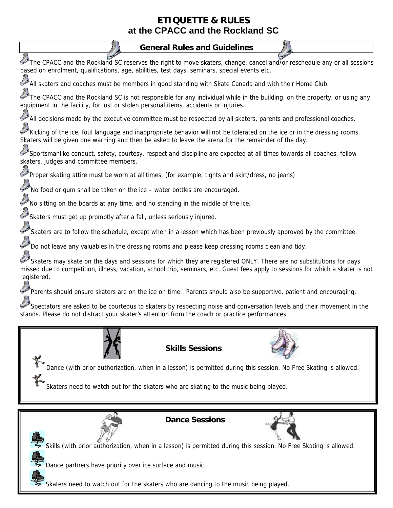## **ETIQUETTE & RULES at the CPACC and the Rockland SC**

## **General Rules and Guidelines**

The CPACC and the Rockland SC reserves the right to move skaters, change, cancel and/or reschedule any or all sessions based on enrolment, qualifications, age, abilities, test days, seminars, special events etc.

All skaters and coaches must be members in good standing with Skate Canada and with their Home Club.

The CPACC and the Rockland SC is not responsible for any individual while in the building, on the property, or using any equipment in the facility, for lost or stolen personal items, accidents or injuries.

All decisions made by the executive committee must be respected by all skaters, parents and professional coaches.

Kicking of the ice, foul language and inappropriate behavior will not be tolerated on the ice or in the dressing rooms. Skaters will be given one warning and then be asked to leave the arena for the remainder of the day.

Sportsmanlike conduct, safety, courtesy, respect and discipline are expected at all times towards all coaches, fellow skaters, judges and committee members.

Proper skating attire must be worn at all times. (for example, tights and skirt/dress, no jeans)

No food or gum shall be taken on the ice – water bottles are encouraged.

No sitting on the boards at any time, and no standing in the middle of the ice.

Skaters must get up promptly after a fall, unless seriously injured.

Skaters are to follow the schedule, except when in a lesson which has been previously approved by the committee.

Do not leave any valuables in the dressing rooms and please keep dressing rooms clean and tidy.

Skaters may skate on the days and sessions for which they are registered ONLY. There are no substitutions for days missed due to competition, illness, vacation, school trip, seminars, etc. Guest fees apply to sessions for which a skater is not registered.

Parents should ensure skaters are on the ice on time. Parents should also be supportive, patient and encouraging.

Spectators are asked to be courteous to skaters by respecting noise and conversation levels and their movement in the stands. Please do not distract your skater's attention from the coach or practice performances.



**Skills Sessions**



Dance (with prior authorization, when in a lesson) is permitted during this session. No Free Skating is allowed.

Skaters need to watch out for the skaters who are skating to the music being played.





Skills (with prior authorization, when in a lesson) is permitted during this session. No Free Skating is allowed.

Dance partners have priority over ice surface and music.

Skaters need to watch out for the skaters who are dancing to the music being played.